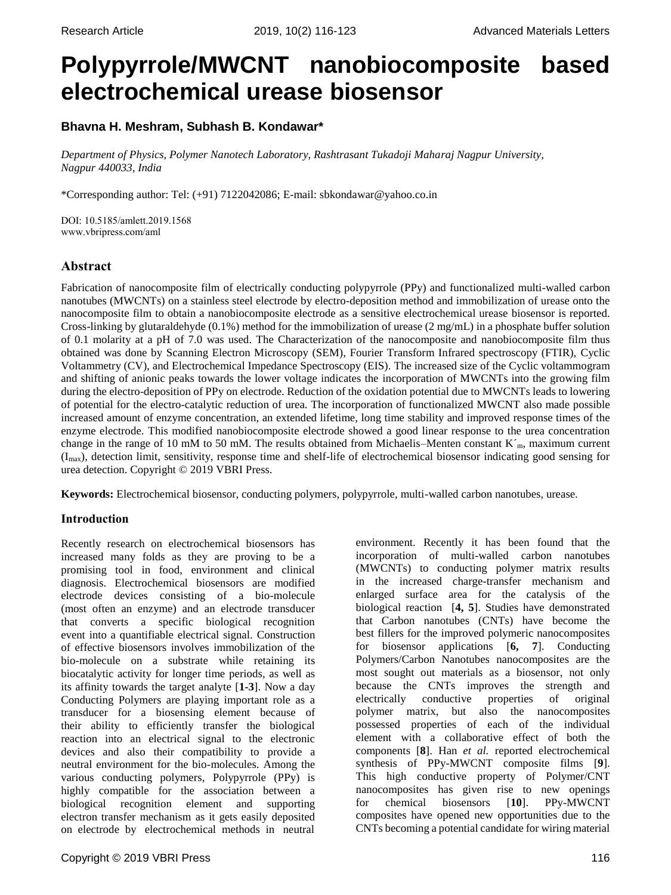# **Polypyrrole/MWCNT nanobiocomposite based electrochemical urease biosensor**

# **Bhavna H. Meshram, Subhash B. Kondawar\***

*Department of Physics, Polymer Nanotech Laboratory, Rashtrasant Tukadoji Maharaj Nagpur University, Nagpur 440033, India*

\*Corresponding author: Tel: (+91) 7122042086; E-mail: sbkondawar@yahoo.co.in

DOI: 10.5185/amlett.2019.1568 www.vbripress.com/aml

# **Abstract**

Fabrication of nanocomposite film of electrically conducting polypyrrole (PPy) and functionalized multi-walled carbon nanotubes (MWCNTs) on a stainless steel electrode by electro-deposition method and immobilization of urease onto the nanocomposite film to obtain a nanobiocomposite electrode as a sensitive electrochemical urease biosensor is reported. Cross-linking by glutaraldehyde (0.1%) method for the immobilization of urease (2 mg/mL) in a phosphate buffer solution of 0.1 molarity at a pH of 7.0 was used. The Characterization of the nanocomposite and nanobiocomposite film thus obtained was done by Scanning Electron Microscopy (SEM), Fourier Transform Infrared spectroscopy (FTIR), Cyclic Voltammetry (CV), and Electrochemical Impedance Spectroscopy (EIS). The increased size of the Cyclic voltammogram and shifting of anionic peaks towards the lower voltage indicates the incorporation of MWCNTs into the growing film during the electro-deposition of PPy on electrode. Reduction of the oxidation potential due to MWCNTs leads to lowering of potential for the electro-catalytic reduction of urea. The incorporation of functionalized MWCNT also made possible increased amount of enzyme concentration, an extended lifetime, long time stability and improved response times of the enzyme electrode. This modified nanobiocomposite electrode showed a good linear response to the urea concentration change in the range of 10 mM to 50 mM. The results obtained from Michaelis–Menten constant  $K<sub>m</sub>$ , maximum current (Imax), detection limit, sensitivity, response time and shelf-life of electrochemical biosensor indicating good sensing for urea detection. Copyright © 2019 VBRI Press.

**Keywords:** Electrochemical biosensor, conducting polymers, polypyrrole, multi-walled carbon nanotubes, urease.

# **Introduction**

Recently research on electrochemical biosensors has increased many folds as they are proving to be a promising tool in food, environment and clinical diagnosis. Electrochemical biosensors are modified electrode devices consisting of a bio-molecule (most often an enzyme) and an electrode transducer that converts a specific biological recognition event into a quantifiable electrical signal. Construction of effective biosensors involves immobilization of the bio-molecule on a substrate while retaining its biocatalytic activity for longer time periods, as well as its affinity towards the target analyte [**1-3**]. Now a day Conducting Polymers are playing important role as a transducer for a biosensing element because of their ability to efficiently transfer the biological reaction into an electrical signal to the electronic devices and also their compatibility to provide a neutral environment for the bio-molecules. Among the various conducting polymers, Polypyrrole (PPy) is highly compatible for the association between a biological recognition element and supporting electron transfer mechanism as it gets easily deposited on electrode by electrochemical methods in neutral

environment. Recently it has been found that the incorporation of multi-walled carbon nanotubes (MWCNTs) to conducting polymer matrix results in the increased charge-transfer mechanism and enlarged surface area for the catalysis of the biological reaction [**4, 5**]. Studies have demonstrated that Carbon nanotubes (CNTs) have become the best fillers for the improved polymeric nanocomposites for biosensor applications [**6, 7**]. Conducting Polymers/Carbon Nanotubes nanocomposites are the most sought out materials as a biosensor, not only because the CNTs improves the strength and electrically conductive properties of original polymer matrix, but also the nanocomposites possessed properties of each of the individual element with a collaborative effect of both the components [**8**]. Han *et al.* reported electrochemical synthesis of PPy-MWCNT composite films [**9**]. This high conductive property of Polymer/CNT nanocomposites has given rise to new openings for chemical biosensors [**10**]. PPy-MWCNT composites have opened new opportunities due to the CNTs becoming a potential candidate for wiring material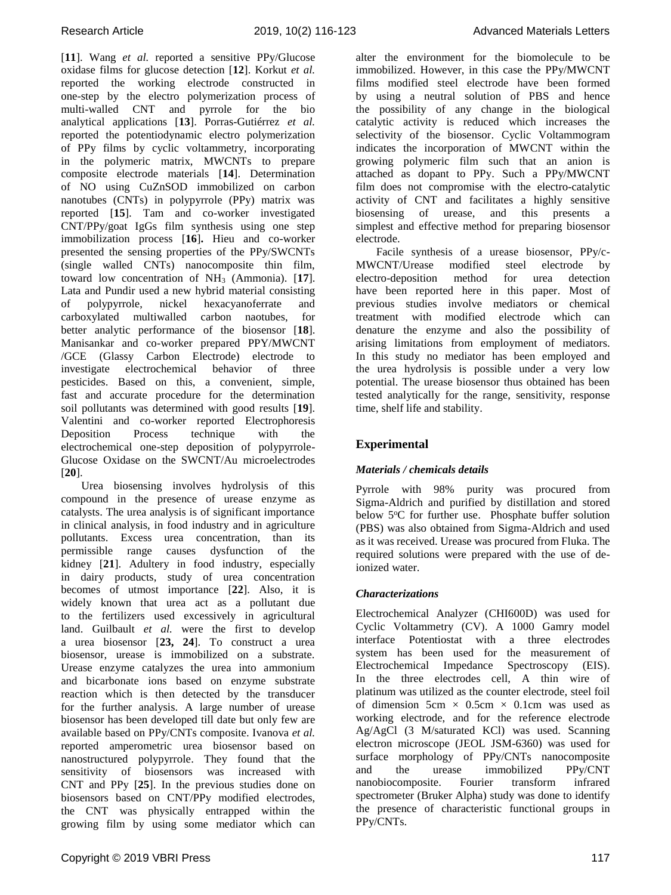[**11**]. Wang *et al.* reported a sensitive PPy/Glucose oxidase films for glucose detection [**12**]. Korkut *et al.* reported the working electrode constructed in one-step by the electro polymerization process of multi-walled CNT and pyrrole for the bio analytical applications [**13**]. Porras-Gutiérrez *et al.* reported the potentiodynamic electro polymerization of PPy films by cyclic voltammetry, incorporating in the polymeric matrix, MWCNTs to prepare composite electrode materials [**14**]. Determination of NO using CuZnSOD immobilized on carbon nanotubes (CNTs) in polypyrrole (PPy) matrix was reported [**15**]. Tam and co-worker investigated CNT/PPy/goat IgGs film synthesis using one step immobilization process [**16**]**.** Hieu and co-worker presented the sensing properties of the PPy/SWCNTs (single walled CNTs) nanocomposite thin film, toward low concentration of NH<sub>3</sub> (Ammonia). [17]. Lata and Pundir used a new hybrid material consisting of polypyrrole, nickel hexacyanoferrate and carboxylated multiwalled carbon naotubes, for better analytic performance of the biosensor [**18**]. Manisankar and co-worker prepared PPY/MWCNT /GCE (Glassy Carbon Electrode) electrode to investigate electrochemical behavior of three pesticides. Based on this, a convenient, simple, fast and accurate procedure for the determination soil pollutants was determined with good results [**19**]. Valentini and co-worker reported Electrophoresis Deposition Process technique with the electrochemical one-step deposition of polypyrrole-Glucose Oxidase on the SWCNT/Au microelectrodes [**20**].

Urea biosensing involves hydrolysis of this compound in the presence of urease enzyme as catalysts. The urea analysis is of significant importance in clinical analysis, in food industry and in agriculture pollutants. Excess urea concentration, than its permissible range causes dysfunction of the kidney [**21**]. Adultery in food industry, especially in dairy products, study of urea concentration becomes of utmost importance [**22**]. Also, it is widely known that urea act as a pollutant due to the fertilizers used excessively in agricultural land. Guilbault *et al.* were the first to develop a urea biosensor [**23, 24**]. To construct a urea biosensor, urease is immobilized on a substrate. Urease enzyme catalyzes the urea into ammonium and bicarbonate ions based on enzyme substrate reaction which is then detected by the transducer for the further analysis. A large number of urease biosensor has been developed till date but only few are available based on PPy/CNTs composite. Ivanova *et al.* reported amperometric urea biosensor based on nanostructured polypyrrole. They found that the sensitivity of biosensors was increased with CNT and PPy [**25**]. In the previous studies done on biosensors based on CNT/PPy modified electrodes, the CNT was physically entrapped within the growing film by using some mediator which can

alter the environment for the biomolecule to be immobilized. However, in this case the PPy/MWCNT films modified steel electrode have been formed by using a neutral solution of PBS and hence the possibility of any change in the biological catalytic activity is reduced which increases the selectivity of the biosensor. Cyclic Voltammogram indicates the incorporation of MWCNT within the growing polymeric film such that an anion is attached as dopant to PPy. Such a PPy/MWCNT film does not compromise with the electro-catalytic activity of CNT and facilitates a highly sensitive biosensing of urease, and this presents a simplest and effective method for preparing biosensor electrode.

Facile synthesis of a urease biosensor, PPy/c-MWCNT/Urease modified steel electrode by electro-deposition method for urea detection have been reported here in this paper. Most of previous studies involve mediators or chemical treatment with modified electrode which can denature the enzyme and also the possibility of arising limitations from employment of mediators. In this study no mediator has been employed and the urea hydrolysis is possible under a very low potential. The urease biosensor thus obtained has been tested analytically for the range, sensitivity, response time, shelf life and stability.

# **Experimental**

# *Materials / chemicals details*

Pyrrole with 98% purity was procured from Sigma-Aldrich and purified by distillation and stored below 5°C for further use. Phosphate buffer solution (PBS) was also obtained from Sigma-Aldrich and used as it was received. Urease was procured from Fluka. The required solutions were prepared with the use of deionized water.

# *Characterizations*

Electrochemical Analyzer (CHI600D) was used for Cyclic Voltammetry (CV). A 1000 Gamry model interface Potentiostat with a three electrodes system has been used for the measurement of Electrochemical Impedance Spectroscopy (EIS). In the three electrodes cell, A thin wire of platinum was utilized as the counter electrode, steel foil of dimension 5cm  $\times$  0.5cm  $\times$  0.1cm was used as working electrode, and for the reference electrode Ag/AgCl (3 M/saturated KCl) was used. Scanning electron microscope (JEOL JSM-6360) was used for surface morphology of PPy/CNTs nanocomposite and the urease immobilized PPy/CNT nanobiocomposite. Fourier transform infrared spectrometer (Bruker Alpha) study was done to identify the presence of characteristic functional groups in PPy/CNTs.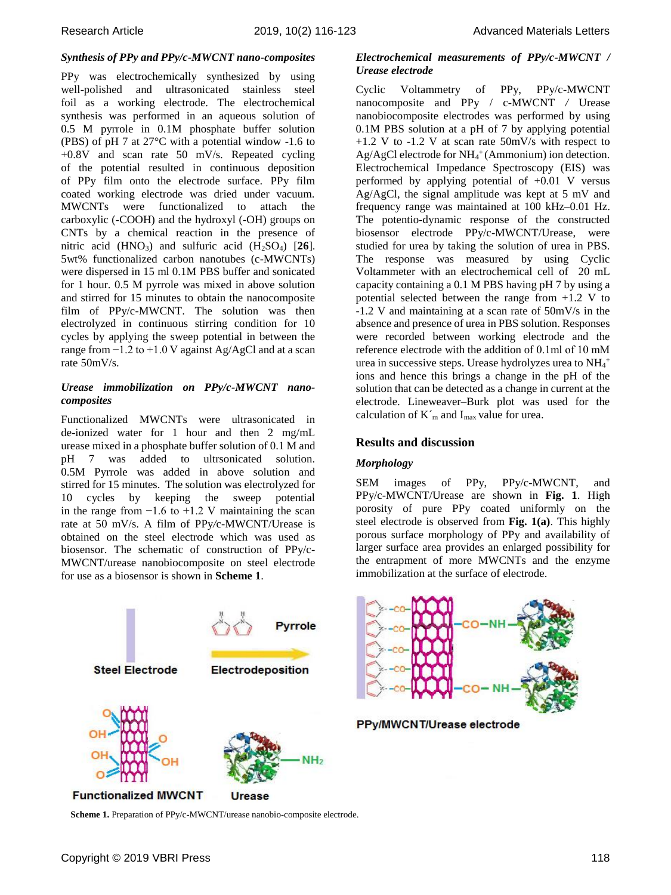# *Synthesis of PPy and PPy/c-MWCNT nano-composites*

PPy was electrochemically synthesized by using well-polished and ultrasonicated stainless steel foil as a working electrode. The electrochemical synthesis was performed in an aqueous solution of 0.5 M pyrrole in 0.1M phosphate buffer solution (PBS) of pH 7 at 27°C with a potential window -1.6 to +0.8V and scan rate 50 mV/s. Repeated cycling of the potential resulted in continuous deposition of PPy film onto the electrode surface. PPy film coated working electrode was dried under vacuum. MWCNTs were functionalized to attach the carboxylic (-COOH) and the hydroxyl (-OH) groups on CNTs by a chemical reaction in the presence of nitric acid (HNO3) and sulfuric acid (H2SO4) [**26**]. 5wt% functionalized carbon nanotubes (c-MWCNTs) were dispersed in 15 ml 0.1M PBS buffer and sonicated for 1 hour. 0.5 M pyrrole was mixed in above solution and stirred for 15 minutes to obtain the nanocomposite film of PPy/c-MWCNT. The solution was then electrolyzed in continuous stirring condition for 10 cycles by applying the sweep potential in between the range from  $-1.2$  to  $+1.0$  V against Ag/AgCl and at a scan rate 50mV/s.

## *Urease immobilization on PPy/c-MWCNT nanocomposites*

Functionalized MWCNTs were ultrasonicated in de-ionized water for 1 hour and then 2 mg/mL urease mixed in a phosphate buffer solution of 0.1 M and pH 7 was added to ultrsonicated solution. 0.5M Pyrrole was added in above solution and stirred for 15 minutes. The solution was electrolyzed for 10 cycles by keeping the sweep potential in the range from  $-1.6$  to  $+1.2$  V maintaining the scan rate at 50 mV/s. A film of PPy*/*c*-*MWCNT/Urease is obtained on the steel electrode which was used as biosensor. The schematic of construction of PPy/c-MWCNT/urease nanobiocomposite on steel electrode for use as a biosensor is shown in **Scheme 1**.



**Scheme 1.** Preparation of PPy/c-MWCNT/urease nanobio-composite electrode.

## *Electrochemical measurements of PPy/c-MWCNT / Urease electrode*

Cyclic Voltammetry of PPy, PPy/c-MWCNT nanocomposite and PPy / c-MWCNT */* Urease nanobiocomposite electrodes was performed by using 0.1M PBS solution at a pH of 7 by applying potential +1.2 V to -1.2 V at scan rate 50mV/s with respect to Ag/AgCl electrode for NH<sub>4</sub><sup>+</sup> (Ammonium) ion detection. Electrochemical Impedance Spectroscopy (EIS) was performed by applying potential of +0.01 V versus Ag/AgCl, the signal amplitude was kept at 5 mV and frequency range was maintained at 100 kHz–0.01 Hz. The potentio-dynamic response of the constructed biosensor electrode PPy/c-MWCNT/Urease, were studied for urea by taking the solution of urea in PBS. The response was measured by using Cyclic Voltammeter with an electrochemical cell of 20 mL capacity containing a 0.1 M PBS having pH 7 by using a potential selected between the range from +1.2 V to -1.2 V and maintaining at a scan rate of 50mV/s in the absence and presence of urea in PBS solution. Responses were recorded between working electrode and the reference electrode with the addition of 0.1ml of 10 mМ urea in successive steps. Urease hydrolyzes urea to NH<sub>4</sub>+ ions and hence this brings a change in the pH of the solution that can be detected as a change in current at the electrode. Lineweaver–Burk plot was used for the calculation of  $K<sub>m</sub>$  and I<sub>max</sub> value for urea.

# **Results and discussion**

## *Morphology*

SEM images of PPy, PPy/c-MWCNT, and PPy/c-MWCNT/Urease are shown in **Fig. 1**. High porosity of pure PPy coated uniformly on the steel electrode is observed from **Fig. 1(a)**. This highly porous surface morphology of PPy and availability of larger surface area provides an enlarged possibility for the entrapment of more MWCNTs and the enzyme immobilization at the surface of electrode.



PPy/MWCNT/Urease electrode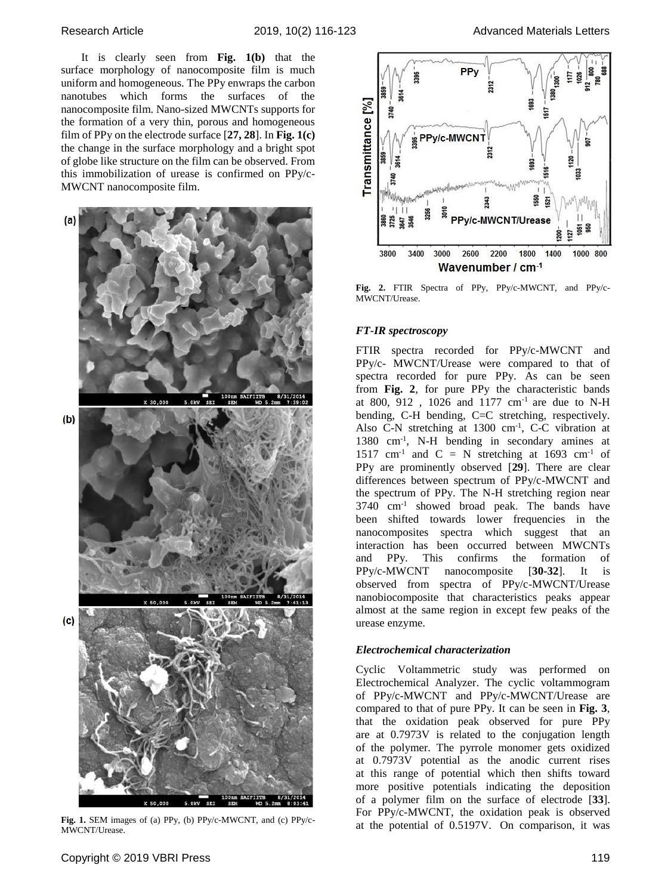It is clearly seen from **Fig. 1(b)** that the surface morphology of nanocomposite film is much uniform and homogeneous. The PPy enwraps the carbon nanotubes which forms the surfaces of the nanocomposite film. Nano-sized MWCNTs supports for the formation of a very thin, porous and homogeneous film of PPy on the electrode surface [**27, 28**]. In **Fig. 1(c)**  the change in the surface morphology and a bright spot of globe like structure on the film can be observed. From this immobilization of urease is confirmed on PPy/c-MWCNT nanocomposite film.



**Fig. 1.** SEM images of (a) PPy, (b) PPy/c-MWCNT, and (c) PPy/c-MWCNT/Urease.



**Fig. 2.** FTIR Spectra of PPy, PPy/c-MWCNT, and PPy/c-MWCNT/Urease.

## *FT-IR spectroscopy*

FTIR spectra recorded for PPy/c-MWCNT and PPy/c- MWCNT/Urease were compared to that of spectra recorded for pure PPy. As can be seen from **Fig. 2**, for pure PPy the characteristic bands at 800, 912, 1026 and 1177  $cm^{-1}$  are due to N-H bending, C-H bending, C=C stretching, respectively. Also C-N stretching at 1300 cm<sup>-1</sup>, C-C vibration at 1380 cm-1 , N-H bending in secondary amines at 1517 cm<sup>-1</sup> and  $C = N$  stretching at 1693 cm<sup>-1</sup> of PPy are prominently observed [**29**]. There are clear differences between spectrum of PPy/c-MWCNT and the spectrum of PPy. The N-H stretching region near 3740 cm-1 showed broad peak. The bands have been shifted towards lower frequencies in the nanocomposites spectra which suggest that an interaction has been occurred between MWCNTs and PPy. This confirms the formation of PPy/c-MWCNT nanocomposite [**30-32**]. It is observed from spectra of PPy/c-MWCNT/Urease nanobiocomposite that characteristics peaks appear almost at the same region in except few peaks of the urease enzyme.

## *Electrochemical characterization*

Cyclic Voltammetric study was performed on Electrochemical Analyzer. The cyclic voltammogram of PPy/c-MWCNT and PPy/c-MWCNT/Urease are compared to that of pure PPy. It can be seen in **Fig. 3**, that the oxidation peak observed for pure PPy are at 0.7973V is related to the conjugation length of the polymer. The pyrrole monomer gets oxidized at 0.7973V potential as the anodic current rises at this range of potential which then shifts toward more positive potentials indicating the deposition of a polymer film on the surface of electrode [**33**]. For PPy/c-MWCNT, the oxidation peak is observed at the potential of 0.5197V. On comparison, it was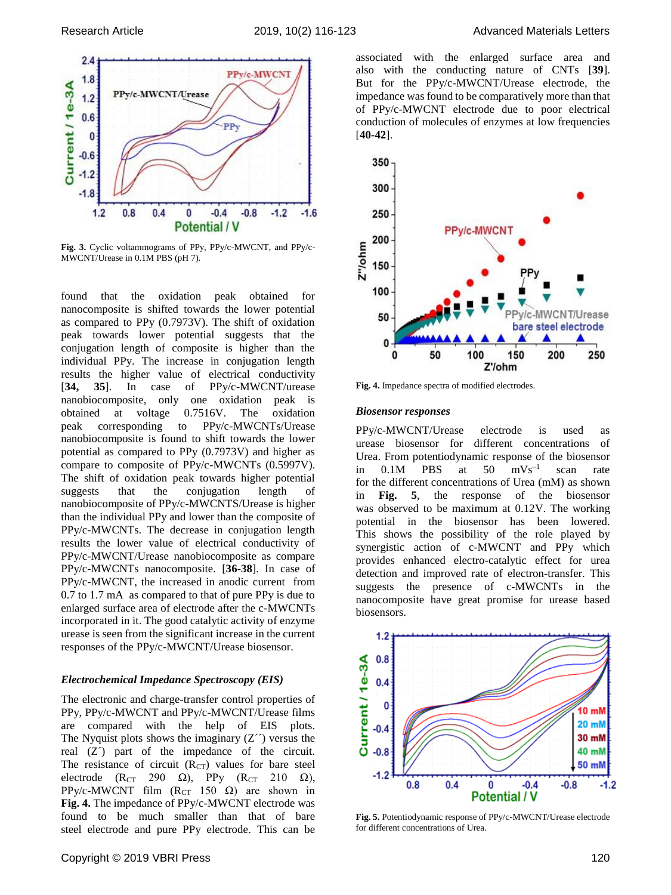

Fig. 3. Cyclic voltammograms of PPy, PPy/c-MWCNT, and PPy/c-MWCNT/Urease in 0.1M PBS (pH 7).

found that the oxidation peak obtained for nanocomposite is shifted towards the lower potential as compared to PPy (0.7973V). The shift of oxidation peak towards lower potential suggests that the conjugation length of composite is higher than the individual PPy. The increase in conjugation length results the higher value of electrical conductivity [**34, 35**]. In case of PPy/c-MWCNT/urease nanobiocomposite, only one oxidation peak is obtained at voltage 0.7516V. The oxidation peak corresponding to PPy/c-MWCNTs/Urease nanobiocomposite is found to shift towards the lower potential as compared to PPy (0.7973V) and higher as compare to composite of PPy/c-MWCNTs (0.5997V). The shift of oxidation peak towards higher potential suggests that the conjugation length of nanobiocomposite of PPy/c-MWCNTS/Urease is higher than the individual PPy and lower than the composite of PPy/c-MWCNTs. The decrease in conjugation length results the lower value of electrical conductivity of PPy/c-MWCNT/Urease nanobiocomposite as compare PPy/c-MWCNTs nanocomposite. [**36-38**]. In case of PPy/c-MWCNT, the increased in anodic current from 0.7 to 1.7 mA as compared to that of pure PPy is due to enlarged surface area of electrode after the c-MWCNTs incorporated in it. The good catalytic activity of enzyme urease is seen from the significant increase in the current responses of the PPy/c-MWCNT/Urease biosensor.

#### *Electrochemical Impedance Spectroscopy (EIS)*

The electronic and charge-transfer control properties of PPy, PPy/c-MWCNT and PPy/c-MWCNT/Urease films are compared with the help of EIS plots. The Nyquist plots shows the imaginary  $(Z'')$  versus the real (Z´) part of the impedance of the circuit. The resistance of circuit  $(R<sub>CT</sub>)$  values for bare steel electrode ( $R_{CT}$  290  $\Omega$ ), PPy ( $R_{CT}$  210  $\Omega$ ), PPy/c-MWCNT film  $(R_{CT} 150 \Omega)$  are shown in **Fig. 4.** The impedance of PPy/c-MWCNT electrode was found to be much smaller than that of bare steel electrode and pure PPy electrode. This can be





**Fig. 4.** Impedance spectra of modified electrodes.

#### *Biosensor responses*

PPy/c-MWCNT/Urease electrode is used as urease biosensor for different concentrations of Urea. From potentiodynamic response of the biosensor in  $0.1M$  PBS at  $50$  $mVs^{-1}$ scan rate for the different concentrations of Urea (mM) as shown in **Fig. 5**, the response of the biosensor was observed to be maximum at 0.12V. The working potential in the biosensor has been lowered. This shows the possibility of the role played by synergistic action of c-MWCNT and PPy which provides enhanced electro-catalytic effect for urea detection and improved rate of electron-transfer. This suggests the presence of c-MWCNTs in the nanocomposite have great promise for urease based biosensors.



**Fig. 5.** Potentiodynamic response of PPy/c-MWCNT/Urease electrode for different concentrations of Urea.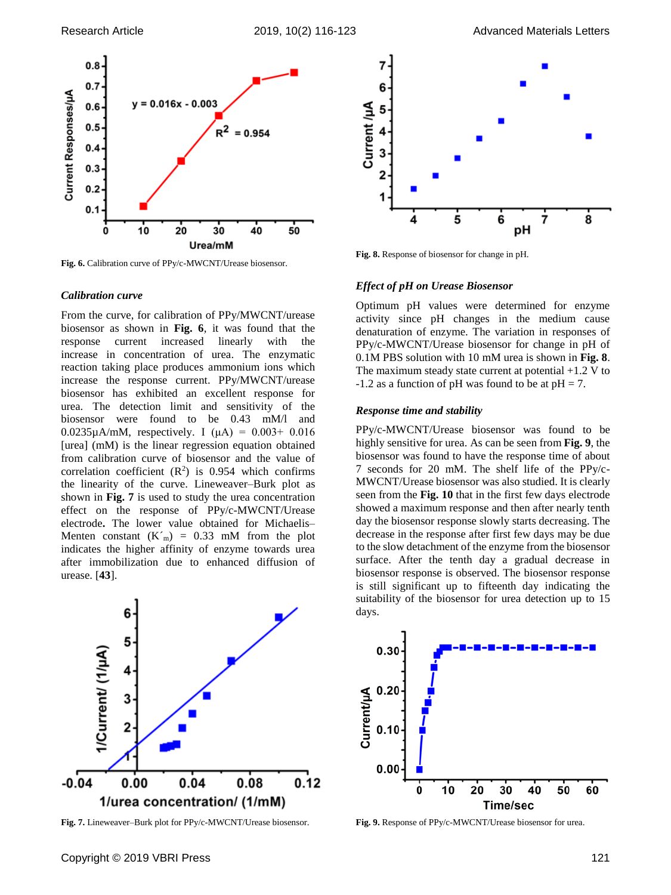

**Fig. 6.** Calibration curve of PPy/c-MWCNT/Urease biosensor.

### *Calibration curve*

From the curve, for calibration of PPy/MWCNT/urease biosensor as shown in **Fig. 6**, it was found that the response current increased linearly with the increase in concentration of urea. The enzymatic reaction taking place produces ammonium ions which increase the response current. PPy/MWCNT/urease biosensor has exhibited an excellent response for urea. The detection limit and sensitivity of the biosensor were found to be 0.43 mM/l and 0.0235 $\mu$ A/mM, respectively. I ( $\mu$ A) = 0.003+ 0.016 [urea] (mM) is the linear regression equation obtained from calibration curve of biosensor and the value of correlation coefficient  $(R^2)$  is 0.954 which confirms the linearity of the curve. Lineweaver–Burk plot as shown in **Fig. 7** is used to study the urea concentration effect on the response of PPy/c-MWCNT/Urease electrode**.** The lower value obtained for Michaelis– Menten constant  $(K<sub>m</sub>) = 0.33$  mM from the plot indicates the higher affinity of enzyme towards urea after immobilization due to enhanced diffusion of urease. [**43**].



**Fig. 7.** Lineweaver–Burk plot for PPy/c-MWCNT/Urease biosensor.



**Fig. 8.** Response of biosensor for change in pH.

## *Effect of pH on Urease Biosensor*

Optimum pH values were determined for enzyme activity since pH changes in the medium cause denaturation of enzyme. The variation in responses of PPy/c-MWCNT/Urease biosensor for change in pH of 0.1M PBS solution with 10 mM urea is shown in **Fig. 8**. The maximum steady state current at potential  $+1.2$  V to  $-1.2$  as a function of pH was found to be at pH = 7.

#### *Response time and stability*

PPy/c-MWCNT/Urease biosensor was found to be highly sensitive for urea. As can be seen from **Fig. 9**, the biosensor was found to have the response time of about 7 seconds for 20 mM. The shelf life of the PPy/c-MWCNT/Urease biosensor was also studied. It is clearly seen from the **Fig. 10** that in the first few days electrode showed a maximum response and then after nearly tenth day the biosensor response slowly starts decreasing. The decrease in the response after first few days may be due to the slow detachment of the enzyme from the biosensor surface. After the tenth day a gradual decrease in biosensor response is observed. The biosensor response is still significant up to fifteenth day indicating the suitability of the biosensor for urea detection up to 15 days.



**Fig. 9.** Response of PPy/c-MWCNT/Urease biosensor for urea.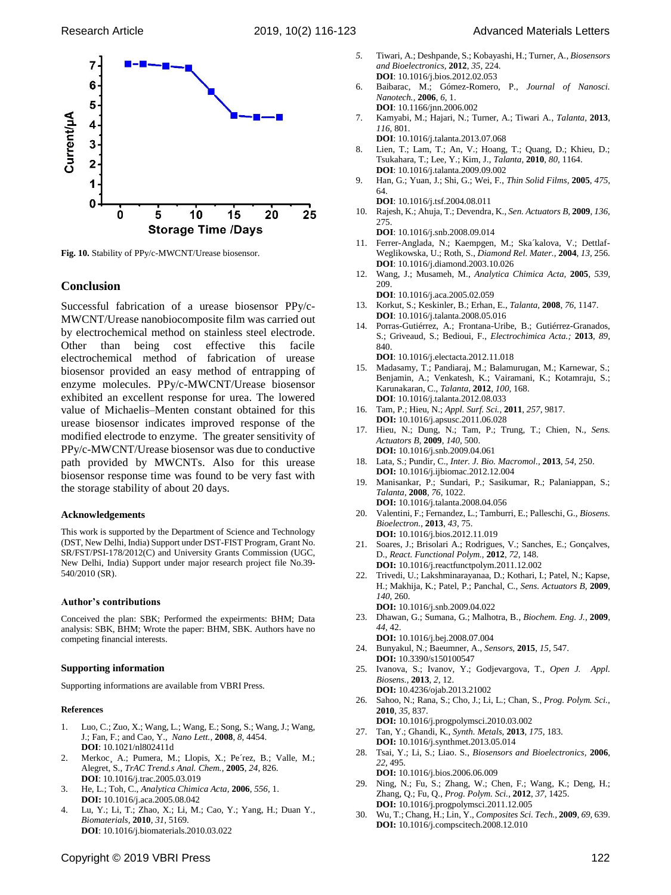

**Fig. 10.** Stability of PPy/c-MWCNT/Urease biosensor.

## **Conclusion**

Successful fabrication of a urease biosensor PPy/c-MWCNT/Urease nanobiocomposite film was carried out by electrochemical method on stainless steel electrode. Other than being cost effective this facile electrochemical method of fabrication of urease biosensor provided an easy method of entrapping of enzyme molecules. PPy/c-MWCNT/Urease biosensor exhibited an excellent response for urea. The lowered value of Michaelis–Menten constant obtained for this urease biosensor indicates improved response of the modified electrode to enzyme. The greater sensitivity of PPy/c-MWCNT/Urease biosensor was due to conductive path provided by MWCNTs. Also for this urease biosensor response time was found to be very fast with the storage stability of about 20 days.

#### **Acknowledgements**

This work is supported by the Department of Science and Technology (DST, New Delhi, India) Support under DST-FIST Program, Grant No. SR/FST/PSI-178/2012(C) and University Grants Commission (UGC, New Delhi, India) Support under major research project file No.39- 540/2010 (SR).

#### **Author's contributions**

Conceived the plan: SBK; Performed the expeirments: BHM; Data analysis: SBK, BHM; Wrote the paper: BHM, SBK. Authors have no competing financial interests.

#### **Supporting information**

Supporting informations are available from VBRI Press.

#### **References**

- 1. Luo, C.; Zuo, X.; Wang, L.; Wang, E.; Song, S.; Wang, J.; Wang, J.; Fan, F.; and Cao, Y., *Nano Lett.,* **2008**, *8,* 4454. **DOI**: 10.1021/nl802411d
- 2. Merkoc¸ A.; Pumera, M.; Llopis, X.; Pe´rez, B.; Valle, M.; Alegret, S., *TrAC Trend.s Anal. Chem.,* **2005**, *24,* 826. **DOI**: 10.1016/j.trac.2005.03.019
- 3. He, L.; Toh, C., *Analytica Chimica Acta,* **2006**, *556,* 1. **DOI:** 10.1016/j.aca.2005.08.042
- 4. Lu, Y.; Li, T.; Zhao, X.; Li, M.; Cao, Y.; Yang, H.; Duan Y., *Biomaterials,* **2010**, *31,* 5169. **DOI**: 10.1016/j.biomaterials.2010.03.022
- *5.* Tiwari, A.; Deshpande, S.; Kobayashi, H.; Turner, A., *Biosensors and Bioelectronics,* **2012**, *35,* 224. **DOI**: 10.1016/j.bios.2012.02.053
- 6. Baibarac, M.; Gómez-Romero, P., *Journal of Nanosci. Nanotech.,* **2006**, *6,* 1. **DOI**: 10.1166/jnn.2006.002
- 7. Kamyabi, M.; Hajari, N.; Turner, A.; Tiwari A., *Talanta,* **2013**, *116,* 801.
	- **DOI**: 10.1016/j.talanta.2013.07.068
- 8. Lien, T.; Lam, T.; An, V.; Hoang, T.; Quang, D.; Khieu, D.; Tsukahara, T.; Lee, Y.; Kim, J., *Talanta,* **2010**, *80,* 1164. **DOI**: 10.1016/j.talanta.2009.09.002
- 9. Han, G.; Yuan, J.; Shi, G.; Wei, F., *Thin Solid Films,* **2005**, *475,* 64.
- **DOI**: 10.1016/j.tsf.2004.08.011 10. Rajesh, K.; Ahuja, T.; Devendra, K., *Sen. Actuators B,* **2009**, *136,*

275. **DOI**: 10.1016/j.snb.2008.09.014

- 11. Ferrer-Anglada, N.; Kaempgen, M.; Ska´kalova, V.; Dettlaf-Weglikowska, U.; Roth, S., *Diamond Rel. Mater.,* **2004**, *13,* 256. **DOI**: 10.1016/j.diamond.2003.10.026
- 12. Wang, J.; Musameh, M., *Analytica Chimica Acta,* **2005**, *539,* 209.
- **DOI**: 10.1016/j.aca.2005.02.059 13. Korkut, S.; Keskinler, B.; Erhan, E., *Talanta,* **2008**, *76,* 1147.
- **DOI**: 10.1016/j.talanta.2008.05.016 14. Porras-Gutiérrez, A.; Frontana-Uribe, B.; Gutiérrez-Granados, S.; Griveaud, S.; Bedioui, F., *Electrochimica Acta.;* **2013**, *89,* 840.
- **DOI**: 10.1016/j.electacta.2012.11.018
- 15. Madasamy, T.; Pandiaraj, M.; Balamurugan, M.; Karnewar, S.; Benjamin, A.; Venkatesh, K.; Vairamani, K.; Kotamraju, S.; Karunakaran, C., *Talanta,* **2012**, *100,* 168. **DOI**: 10.1016/j.talanta.2012.08.033
- 16. Tam, P.; Hieu, N.; *Appl. Surf. Sci.,* **2011**, *257,* 9817.
- **DOI:** 10.1016/j.apsusc.2011.06.028
- 17. Hieu, N.; Dung, N.; Tam, P.; Trung, T.; Chien, N., *Sens. Actuators B,* **2009**, *140,* 500. **DOI:** 10.1016/j.snb.2009.04.061
- 18. Lata, S.; Pundir, C., *Inter. J. Bio. Macromol.,* **2013**, *54,* 250. **DOI:** 10.1016/j.ijbiomac.2012.12.004
- 19. Manisankar, P.; Sundari, P.; Sasikumar, R.; Palaniappan, S.; *Talanta,* **2008**, *76,* 1022.
- **DOI:** 10.1016/j.talanta.2008.04.056 20. Valentini, F.; Fernandez, L.; Tamburri, E.; Palleschi, G., *Biosens. Bioelectron.,* **2013**, *43,* 75. **DOI:** 10.1016/j.bios.2012.11.019
- 21. Soares, J.; Brisolari A.; Rodrigues, V.; Sanches, E.; Gonçalves, D., *React. Functional Polym.,* **2012**, *72,* 148. **DOI:** 10.1016/j.reactfunctpolym.2011.12.002
- 22. Trivedi, U.; Lakshminarayanaa, D.; Kothari, I.; Patel, N.; Kapse, H.; Makhija, K.; Patel, P.; Panchal, C., *Sens. Actuators B,* **2009**, *140,* 260. **DOI:** 10.1016/j.snb.2009.04.022
- 23. Dhawan, G.; Sumana, G.; Malhotra, B., *Biochem. Eng. J.,* **2009**, *44,* 42.
- **DOI:** 10.1016/j.bej.2008.07.004 24. Bunyakul, N.; Baeumner, A., *Sensors,* **2015**, *15,* 547. **DOI:** 10.3390/s150100547
- 25. Ivanova, S.; Ivanov, Y.; Godjevargova, T., *Open J. Appl. Biosens.,* **2013**, *2,* 12.
- **DOI:** 10.4236/ojab.2013.21002 26. Sahoo, N.; Rana, S.; Cho, J.; Li, L.; Chan, S., *Prog. Polym. Sci.,* **2010**, *35,* 837.
- **DOI:** 10.1016/j.progpolymsci.2010.03.002
- 27. Tan, Y.; Ghandi, K., *Synth. Metals,* **2013**, *175,* 183. **DOI:** 10.1016/j.synthmet.2013.05.014
- 28. Tsai, Y.; Li, S.; Liao. S., *Biosensors and Bioelectronics,* **2006**, *22,* 495.
- **DOI:** 10.1016/j.bios.2006.06.009 29. Ning, N.; Fu, S.; Zhang, W.; Chen, F.; Wang, K.; Deng, H.; Zhang, Q.; Fu, Q., *Prog. Polym. Sci.,* **2012**, *37,* 1425. **DOI:** 10.1016/j.progpolymsci.2011.12.005
- 30. Wu, T.; Chang, H.; Lin, Y., *Composites Sci. Tech.,* **2009**, *69,* 639. **DOI:** 10.1016/j.compscitech.2008.12.010